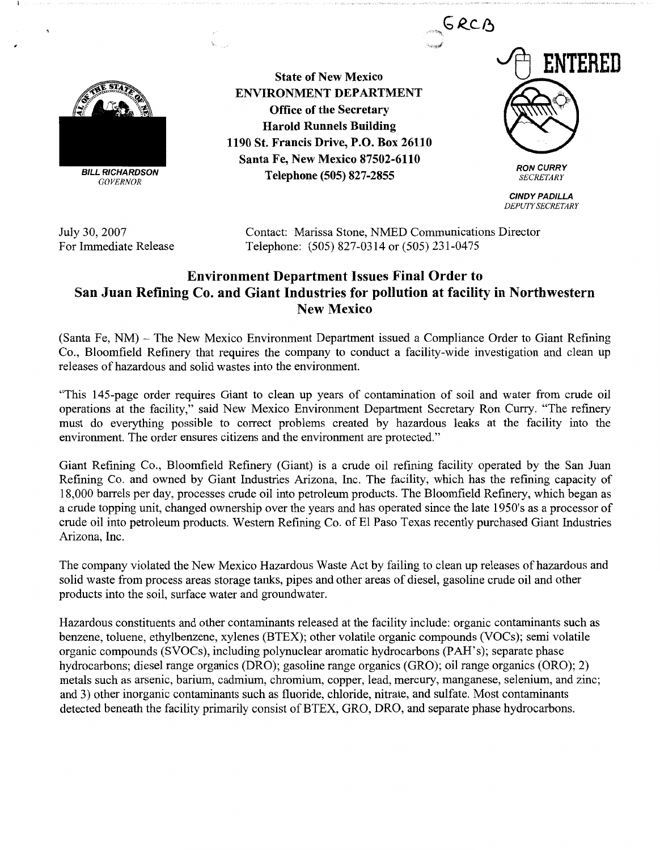

**BILL RICHARDSON**  *GOVERNOR* 

**State of New Mexico ENVIRONMENT DEPARTMENT Office of the Secretary Harold Runnels Building 1190 St. Francis Drive, P.O. Box 26110 Santa Fe, New Mexico 87502-6110 Telephone (505) 827-2855** 



**CINDY PADILLA**  *DEPUTY SECRETARY* 

July 30, 2007 For Immediate Release Contact: Marissa Stone, NMED Communications Director Telephone: (505) 827-0314 or (505) 231-0475

## **Environment Department Issues Final Order to San Juan Refining Co. and Giant Industries for pollution at facility in Northwestern New Mexico**

(Santa Fe, NM) - The New Mexico Environment Department issued a Compliance Order to Giant Refining Co., Bloomfield Refinery that requires the company to conduct a facility-wide investigation and clean up releases of hazardous and solid wastes into the environment.

"This 145-page order requires Giant to clean up years of contamination of soil and water from crude oil operations at the facility," said New Mexico Environment Department Secretary Ron Curry. "The refinery must do everything possible to correct problems created by hazardous leaks at the facility into the environment. The order ensures citizens and the environment are protected."

Giant Refining Co., Bloomfield Refinery (Giant) is a crude oil refining facility operated by the San Juan Refining Co. and owned by Giant Industries Arizona, Inc. The facility, which has the refining capacity of 18,000 barrels per day, processes crude oil into petroleum products. The Bloomfield Refinery, which began as a crude topping unit, changed ownership over the years and has operated since the late 1950's as a processor of crude oil into petroleum products. Western Refining Co. of El Paso Texas recently purchased Giant Industries Arizona, Inc.

The company violated the New Mexico Hazardous Waste Act by failing to clean up releases of hazardous and solid waste from process areas storage tanks, pipes and other areas of diesel, gasoline crude oil and other products into the soil, surface water and groundwater.

Hazardous constituents and other contaminants released at the facility include: organic contaminants such as benzene, toluene, ethylbenzene, xylenes (BTEX); other volatile organic compounds (VOCs); semi volatile organic compounds (SVOCs), including polynuclear aromatic hydrocarbons (PAH's); separate phase hydrocarbons; diesel range organics (DRO); gasoline range organics (GRO); oil range organics (ORO); 2) metals such as arsenic, barium, cadmium, chromium, copper, lead, mercury, manganese, selenium, and zinc; and 3) other inorganic contaminants such as fluoride, chloride, nitrate, and sulfate. Most contaminants detected beneath the facility primarily consist of BTEX, GRO, DRO, and separate phase hydrocarbons.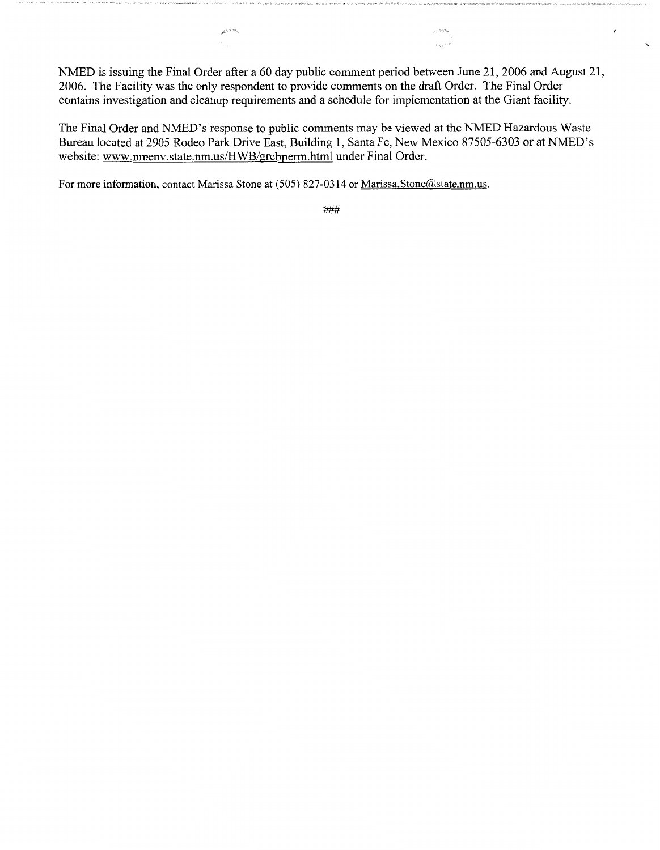NMED is issuing the Final Order after a 60 day public comment period between June 21, 2006 and August 21, 2006. The Facility was the only respondent to provide comments on the draft Order. The Final Order contains investigation and cleanup requirements and a schedule for implementation at the Giant facility.

 $\epsilon$ 

The Final Order and NMED's response to public comments may be viewed at the NMED Hazardous Waste Bureau located at 2905 Rodeo Park Drive East, Building 1, Santa Fe, New Mexico 87505-6303 or at NMED's website: www.nmenv.state.nm.us/HWB/grcbperm.html under Final Order.

For more information, contact Marissa Stone at (505) 827-0314 or Marissa.Stone@state.nm.us.

ø

###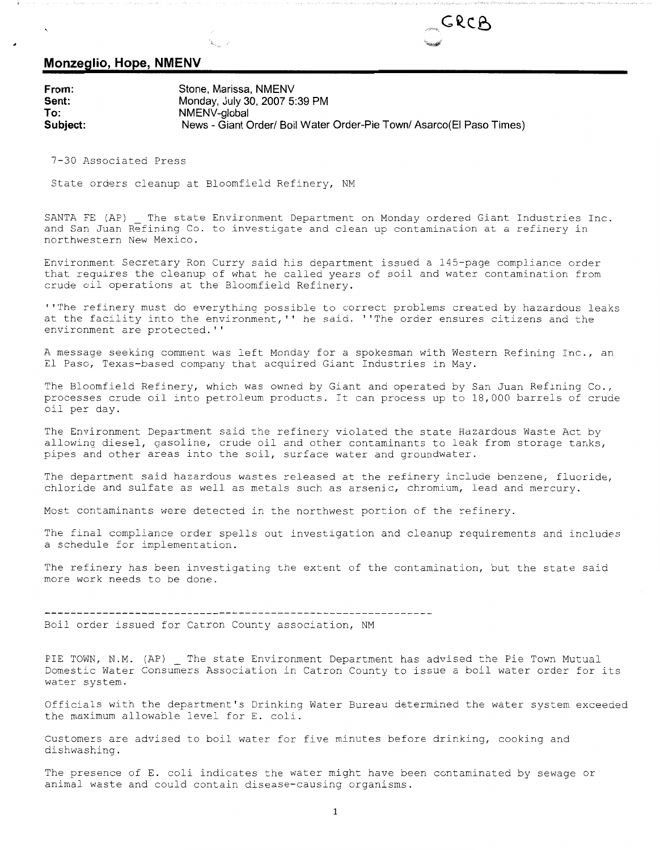## GRCA

## **Monzeglio, Hope, NMENV**

**From: Sent: To: Stone, Marissa, NMENV Monday, July 30, 2007 5:39 PM NMENV-global Subject: News - Giant Order/ Boil Water Order-Pie Town/ Asarco(EI Paso Times)** 

7-30 Associated Press

State orders cleanup at Bloomfield Refinery, NM

SANTA FE (AP) The state Environment Department on Monday ordered Giant Industries Inc. and San Juan Refining Co. to investigate and clean up contamination at a refinery in northwestern New Mexico.

Environment Secretary Ron Curry said his department issued a 145-page compliance order that requires the cleanup of what he called years of soil and water contamination from crude oil operations at the Bloomfield Refinery.

''The refinery must do everything possible to correct problems created by hazardous leaks at the facility into the environment,'' he said. ''The order ensures citizens and the environment are protected.''

A message seeking comment was left Monday for a spokesman with Western Refining Inc., an El Paso, Texas-based company that acquired Giant Industries in May.

The Bloomfield Refinery, which was owned by Giant and operated by San Juan Refining Co., processes crude oil into petroleum products. It can process up to 18,000 barrels of crude oil per day.

The Environment Department said the refinery violated the state Hazardous Waste Act by allowing diesel, gasoline, crude oil and other contaminants to leak from storage tanks, pipes and other areas into the soil, surface water and groundwater.

The department said hazardous wastes released at the refinery include benzene, fluoride, chloride and sulfate as well as metals such as arsenic, chromium, lead and mercury.

Most contaminants were detected in the northwest portion of the refinery.

The final compliance order spells out investigation and cleanup requirements and includes a schedule for implementation.

The refinery has been investigating the extent of the contamination, but the state said more work needs to be done.

Boil order issued for Catron County association, NM

PIE TOWN, N.M. (AP) The state Environment Department has advised the Pie Town Mutual Domestic Water Consumers Association in Catron County to issue a boil water order for its water system.

Officials with the department's Drinking Water Bureau determined the water system exceeded the maximum allowable level for E. coli.

Customers are advised to boil water for five minutes before drinking, cooking and dishwashing.

The presence of E. coli indicates the water might have been contaminated by sewage or animal waste and could contain disease-causing organisms.